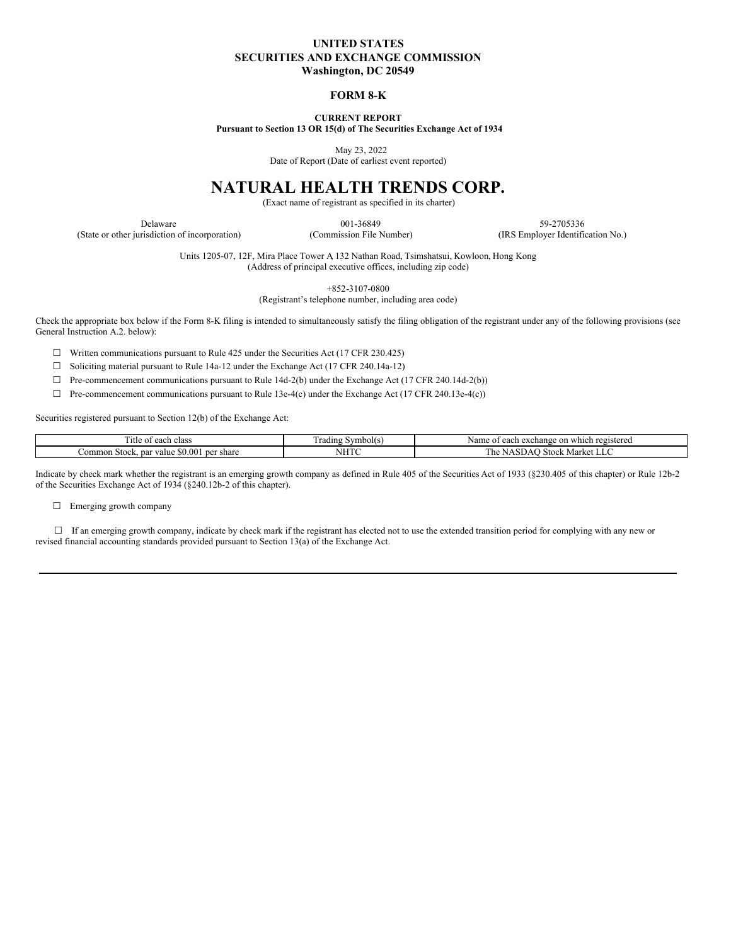## **UNITED STATES SECURITIES AND EXCHANGE COMMISSION Washington, DC 20549**

### **FORM 8-K**

**CURRENT REPORT**

**Pursuant to Section 13 OR 15(d) of The Securities Exchange Act of 1934**

May 23, 2022

Date of Report (Date of earliest event reported)

# **NATURAL HEALTH TRENDS CORP.**

(Exact name of registrant as specified in its charter)

Delaware 59-2705336 59-2705336 (State or other jurisdiction of incorporation) (Commission File Number) (IRS Employer Identification No.)

> Units 1205-07, 12F, Mira Place Tower A, 132 Nathan Road, Tsimshatsui, Kowloon, Hong Kong (Address of principal executive offices, including zip code)

> > +852-3107-0800

(Registrant's telephone number, including area code)

Check the appropriate box below if the Form 8-K filing is intended to simultaneously satisfy the filing obligation of the registrant under any of the following provisions (see General Instruction A.2. below):

 $\Box$  Written communications pursuant to Rule 425 under the Securities Act (17 CFR 230.425)

☐ Soliciting material pursuant to Rule 14a-12 under the Exchange Act (17 CFR 240.14a-12)

 $\Box$  Pre-commencement communications pursuant to Rule 14d-2(b) under the Exchange Act (17 CFR 240.14d-2(b))

☐ Pre-commencement communications pursuant to Rule 13e-4(c) under the Exchange Act (17 CFR 240.13e-4(c))

Securities registered pursuant to Section 12(b) of the Exchange Act:

| `itle<br>∶each class<br>0Ť                                | $\sim$<br>rading<br>Symbol(s) | i registered<br>Nam<br>ı which<br>each<br>exchange<br>` on |
|-----------------------------------------------------------|-------------------------------|------------------------------------------------------------|
| \$0.00<br>per share<br>`ommon-<br>i Stock<br>par<br>value | <b>TTTTY</b><br>,,,,,         | ∽ Market LL∟<br>l ne<br>stock<br>. SDA:                    |

Indicate by check mark whether the registrant is an emerging growth company as defined in Rule 405 of the Securities Act of 1933 (§230.405 of this chapter) or Rule 12b-2 of the Securities Exchange Act of 1934 (§240.12b-2 of this chapter).

□ Emerging growth company

□ If an emerging growth company, indicate by check mark if the registrant has elected not to use the extended transition period for complying with any new or revised financial accounting standards provided pursuant to Section 13(a) of the Exchange Act.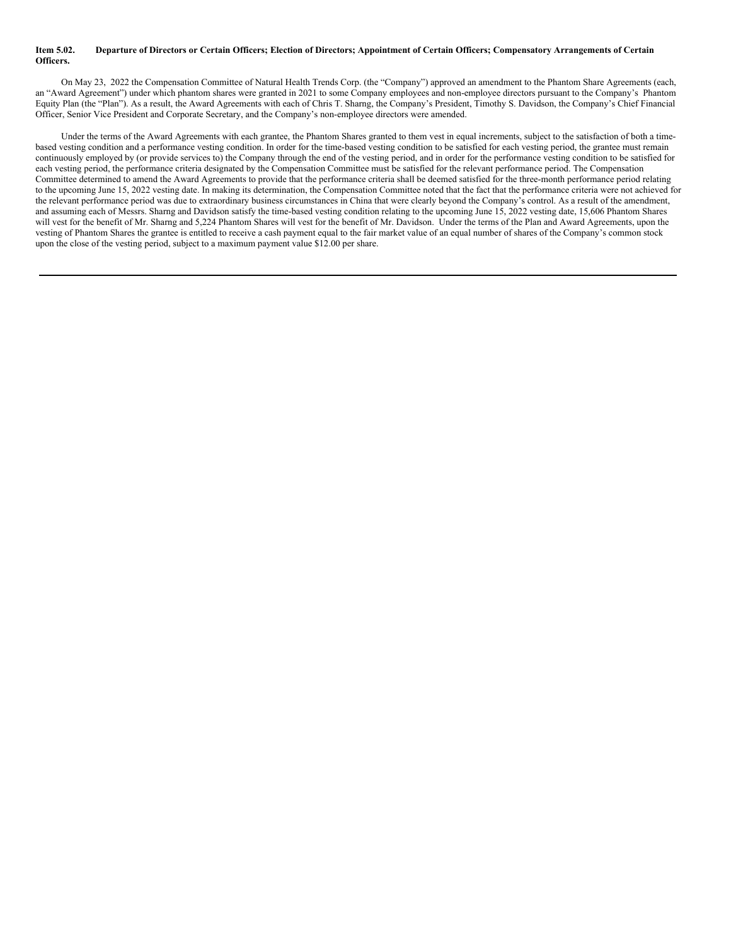#### Item 5.02. Departure of Directors or Certain Officers; Election of Directors; Appointment of Certain Officers; Compensatory Arrangements of Certain **Officers.**

On May 23, 2022 the Compensation Committee of Natural Health Trends Corp. (the "Company") approved an amendment to the Phantom Share Agreements (each, an "Award Agreement") under which phantom shares were granted in 2021 to some Company employees and non-employee directors pursuant to the Company's Phantom Equity Plan (the "Plan"). As a result, the Award Agreements with each of Chris T. Sharng, the Company's President, Timothy S. Davidson, the Company's Chief Financial Officer, Senior Vice President and Corporate Secretary, and the Company's non-employee directors were amended.

Under the terms of the Award Agreements with each grantee, the Phantom Shares granted to them vest in equal increments, subject to the satisfaction of both a timebased vesting condition and a performance vesting condition. In order for the time-based vesting condition to be satisfied for each vesting period, the grantee must remain continuously employed by (or provide services to) the Company through the end of the vesting period, and in order for the performance vesting condition to be satisfied for each vesting period, the performance criteria designated by the Compensation Committee must be satisfied for the relevant performance period. The Compensation Committee determined to amend the Award Agreements to provide that the performance criteria shall be deemed satisfied for the three-month performance period relating to the upcoming June 15, 2022 vesting date. In making its determination, the Compensation Committee noted that the fact that the performance criteria were not achieved for the relevant performance period was due to extraordinary business circumstances in China that were clearly beyond the Company's control. As a result of the amendment, and assuming each of Messrs. Sharng and Davidson satisfy the time-based vesting condition relating to the upcoming June 15, 2022 vesting date, 15,606 Phantom Shares will vest for the benefit of Mr. Sharng and 5,224 Phantom Shares will vest for the benefit of Mr. Davidson. Under the terms of the Plan and Award Agreements, upon the vesting of Phantom Shares the grantee is entitled to receive a cash payment equal to the fair market value of an equal number of shares of the Company's common stock upon the close of the vesting period, subject to a maximum payment value \$12.00 per share.